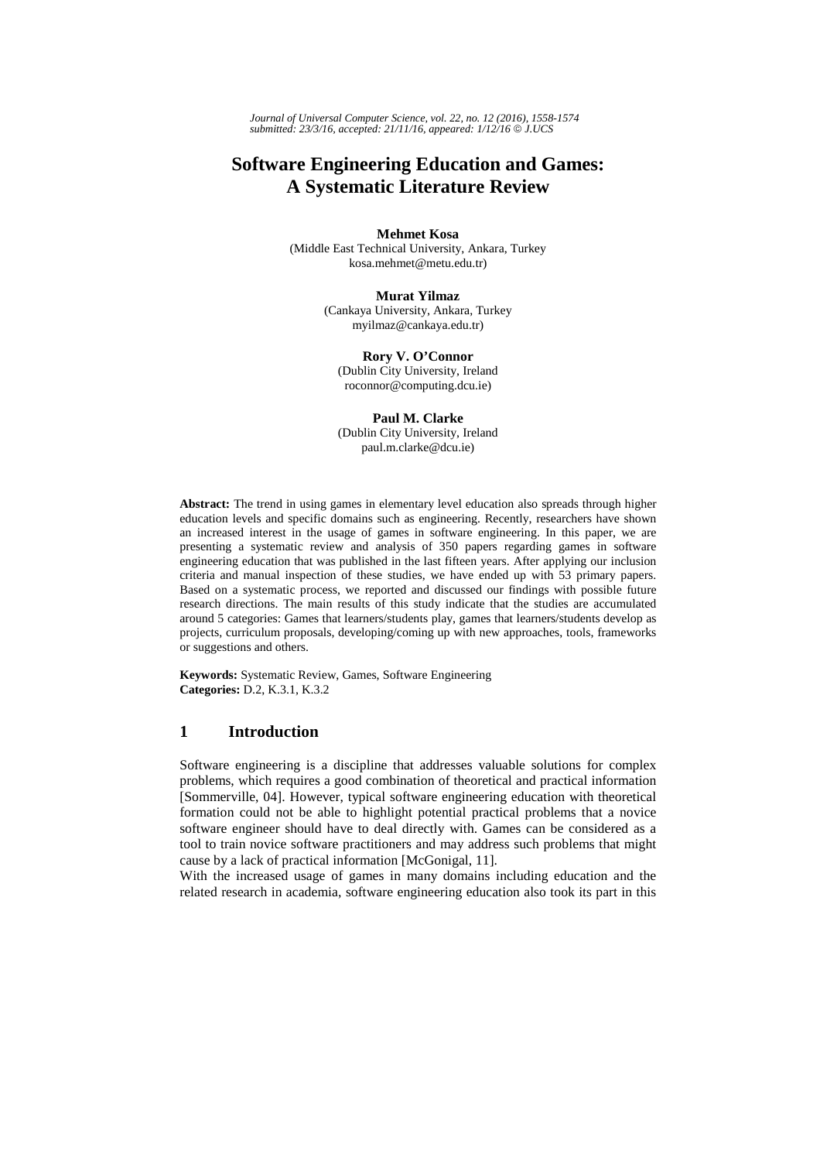*Journal of Universal Computer Science, vol. 22, no. 12 (2016), 1558-1574 submitted: 23/3/16, accepted: 21/11/16, appeared: 1/12/16* © *J.UCS*

## **Software Engineering Education and Games: A Systematic Literature Review**

**Mehmet Kosa**  (Middle East Technical University, Ankara, Turkey kosa.mehmet@metu.edu.tr)

> **Murat Yilmaz**  (Cankaya University, Ankara, Turkey myilmaz@cankaya.edu.tr)

**Rory V. O'Connor**  (Dublin City University, Ireland roconnor@computing.dcu.ie)

**Paul M. Clarke**  (Dublin City University, Ireland paul.m.clarke@dcu.ie)

**Abstract:** The trend in using games in elementary level education also spreads through higher education levels and specific domains such as engineering. Recently, researchers have shown an increased interest in the usage of games in software engineering. In this paper, we are presenting a systematic review and analysis of 350 papers regarding games in software engineering education that was published in the last fifteen years. After applying our inclusion criteria and manual inspection of these studies, we have ended up with 53 primary papers. Based on a systematic process, we reported and discussed our findings with possible future research directions. The main results of this study indicate that the studies are accumulated around 5 categories: Games that learners/students play, games that learners/students develop as projects, curriculum proposals, developing/coming up with new approaches, tools, frameworks or suggestions and others.

**Keywords:** Systematic Review, Games, Software Engineering **Categories:** D.2, K.3.1, K.3.2

## **1 Introduction**

Software engineering is a discipline that addresses valuable solutions for complex problems, which requires a good combination of theoretical and practical information [Sommerville, 04]. However, typical software engineering education with theoretical formation could not be able to highlight potential practical problems that a novice software engineer should have to deal directly with. Games can be considered as a tool to train novice software practitioners and may address such problems that might cause by a lack of practical information [McGonigal, 11].

With the increased usage of games in many domains including education and the related research in academia, software engineering education also took its part in this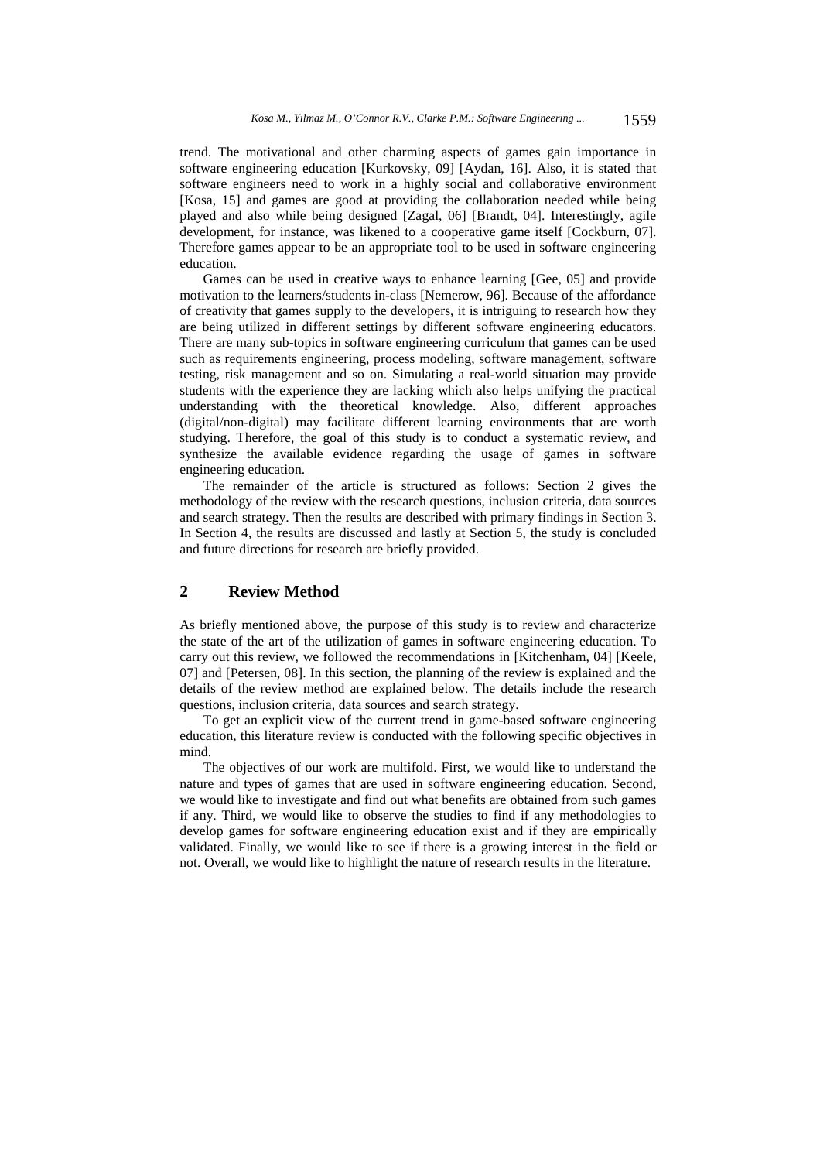trend. The motivational and other charming aspects of games gain importance in software engineering education [Kurkovsky, 09] [Aydan, 16]. Also, it is stated that software engineers need to work in a highly social and collaborative environment [Kosa, 15] and games are good at providing the collaboration needed while being played and also while being designed [Zagal, 06] [Brandt, 04]. Interestingly, agile development, for instance, was likened to a cooperative game itself [Cockburn, 07]. Therefore games appear to be an appropriate tool to be used in software engineering education.

Games can be used in creative ways to enhance learning [Gee, 05] and provide motivation to the learners/students in-class [Nemerow, 96]. Because of the affordance of creativity that games supply to the developers, it is intriguing to research how they are being utilized in different settings by different software engineering educators. There are many sub-topics in software engineering curriculum that games can be used such as requirements engineering, process modeling, software management, software testing, risk management and so on. Simulating a real-world situation may provide students with the experience they are lacking which also helps unifying the practical understanding with the theoretical knowledge. Also, different approaches (digital/non-digital) may facilitate different learning environments that are worth studying. Therefore, the goal of this study is to conduct a systematic review, and synthesize the available evidence regarding the usage of games in software engineering education.

The remainder of the article is structured as follows: Section 2 gives the methodology of the review with the research questions, inclusion criteria, data sources and search strategy. Then the results are described with primary findings in Section 3. In Section 4, the results are discussed and lastly at Section 5, the study is concluded and future directions for research are briefly provided.

## **2 Review Method**

As briefly mentioned above, the purpose of this study is to review and characterize the state of the art of the utilization of games in software engineering education. To carry out this review, we followed the recommendations in [Kitchenham, 04] [Keele, 07] and [Petersen, 08]. In this section, the planning of the review is explained and the details of the review method are explained below. The details include the research questions, inclusion criteria, data sources and search strategy.

To get an explicit view of the current trend in game-based software engineering education, this literature review is conducted with the following specific objectives in mind.

The objectives of our work are multifold. First, we would like to understand the nature and types of games that are used in software engineering education. Second, we would like to investigate and find out what benefits are obtained from such games if any. Third, we would like to observe the studies to find if any methodologies to develop games for software engineering education exist and if they are empirically validated. Finally, we would like to see if there is a growing interest in the field or not. Overall, we would like to highlight the nature of research results in the literature.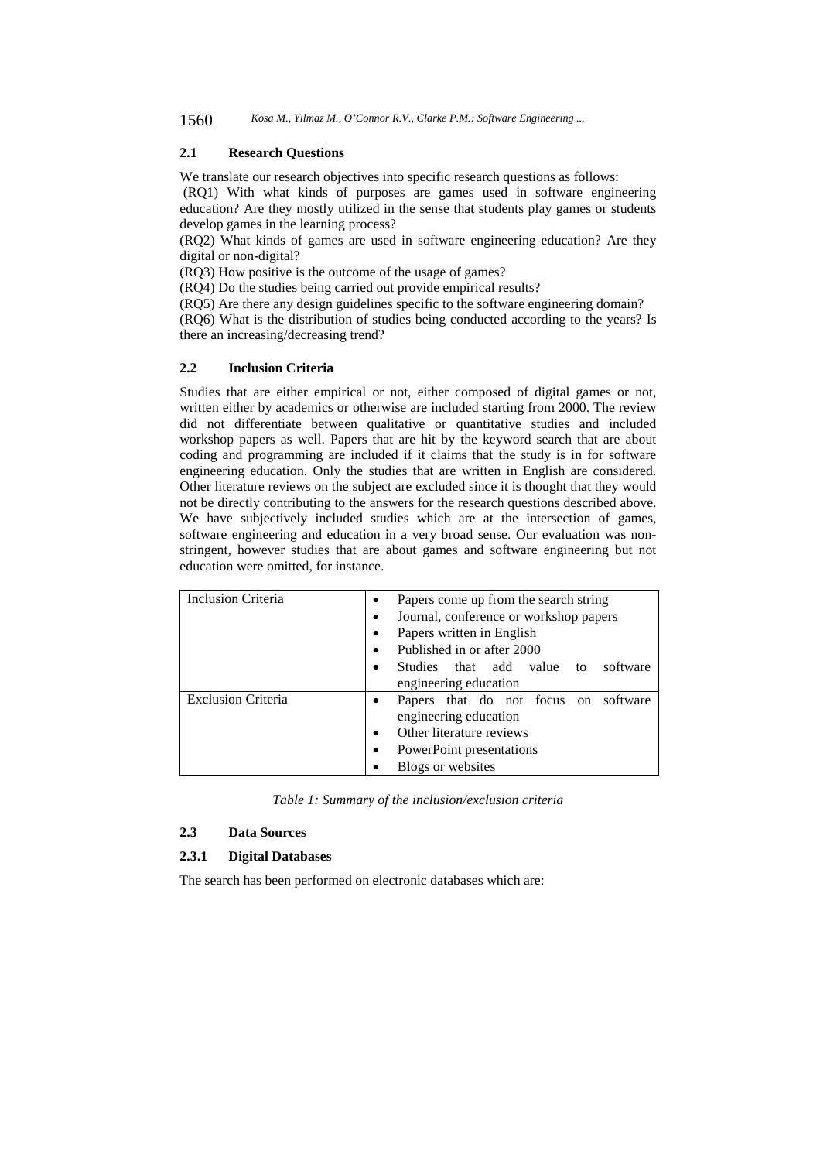1560 *Kosa M., Yilmaz M., O'Connor R.V., Clarke P.M.: Software Engineering ...*

#### **2.1 Research Questions**

We translate our research objectives into specific research questions as follows:

 (RQ1) With what kinds of purposes are games used in software engineering education? Are they mostly utilized in the sense that students play games or students develop games in the learning process?

(RQ2) What kinds of games are used in software engineering education? Are they digital or non-digital?

(RQ3) How positive is the outcome of the usage of games?

(RQ4) Do the studies being carried out provide empirical results?

(RQ5) Are there any design guidelines specific to the software engineering domain?

(RQ6) What is the distribution of studies being conducted according to the years? Is there an increasing/decreasing trend?

#### **2.2 Inclusion Criteria**

Studies that are either empirical or not, either composed of digital games or not, written either by academics or otherwise are included starting from 2000. The review did not differentiate between qualitative or quantitative studies and included workshop papers as well. Papers that are hit by the keyword search that are about coding and programming are included if it claims that the study is in for software engineering education. Only the studies that are written in English are considered. Other literature reviews on the subject are excluded since it is thought that they would not be directly contributing to the answers for the research questions described above. We have subjectively included studies which are at the intersection of games, software engineering and education in a very broad sense. Our evaluation was nonstringent, however studies that are about games and software engineering but not education were omitted, for instance.

| Inclusion Criteria        | Papers come up from the search string<br>٠<br>Journal, conference or workshop papers<br>$\bullet$<br>Papers written in English<br>$\bullet$<br>Published in or after 2000<br>$\bullet$ |  |  |
|---------------------------|----------------------------------------------------------------------------------------------------------------------------------------------------------------------------------------|--|--|
|                           | Studies that add value to software<br>$\bullet$<br>engineering education                                                                                                               |  |  |
| <b>Exclusion Criteria</b> | Papers that do not focus on software<br>$\bullet$<br>engineering education<br>Other literature reviews<br>$\bullet$<br>PowerPoint presentations<br>$\bullet$                           |  |  |
|                           | Blogs or websites                                                                                                                                                                      |  |  |

*Table 1: Summary of the inclusion/exclusion criteria* 

## **2.3 Data Sources**

#### **2.3.1 Digital Databases**

The search has been performed on electronic databases which are: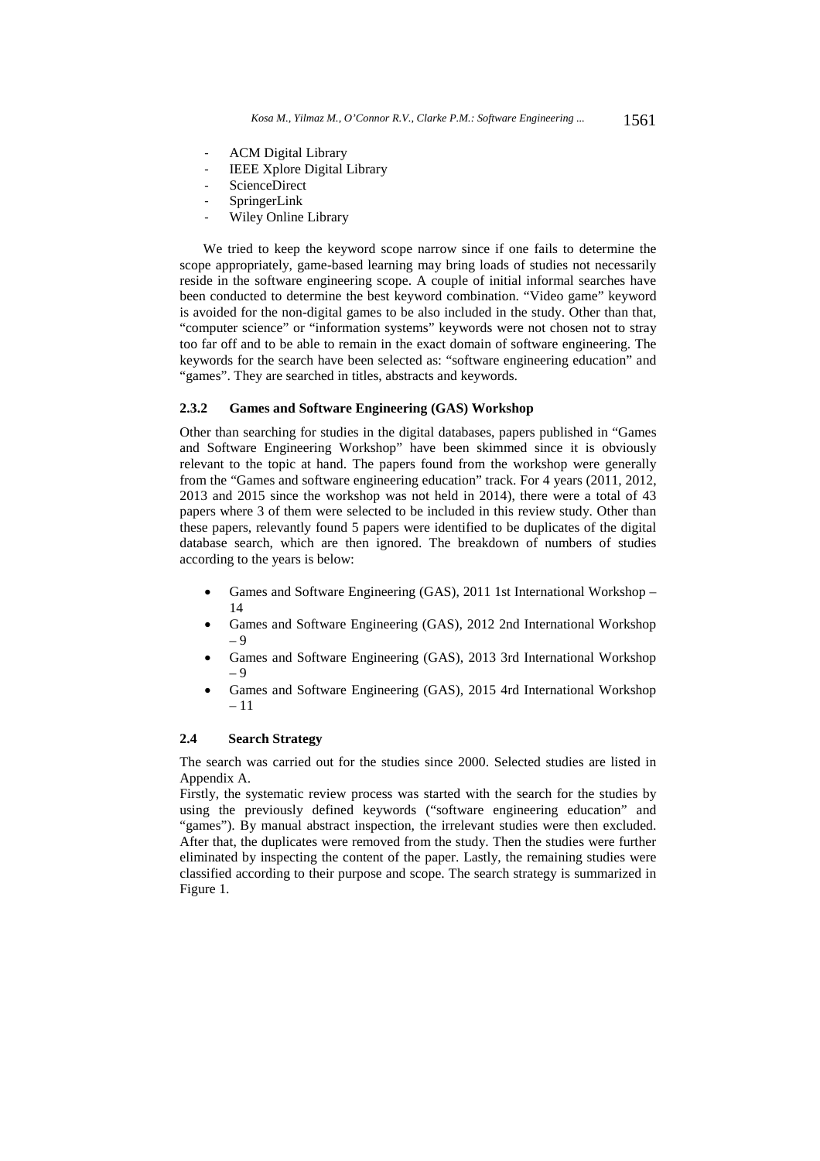- ACM Digital Library
- IEEE Xplore Digital Library
- ScienceDirect
- SpringerLink
- Wiley Online Library

We tried to keep the keyword scope narrow since if one fails to determine the scope appropriately, game-based learning may bring loads of studies not necessarily reside in the software engineering scope. A couple of initial informal searches have been conducted to determine the best keyword combination. "Video game" keyword is avoided for the non-digital games to be also included in the study. Other than that, "computer science" or "information systems" keywords were not chosen not to stray too far off and to be able to remain in the exact domain of software engineering. The keywords for the search have been selected as: "software engineering education" and "games". They are searched in titles, abstracts and keywords.

#### **2.3.2 Games and Software Engineering (GAS) Workshop**

Other than searching for studies in the digital databases, papers published in "Games and Software Engineering Workshop" have been skimmed since it is obviously relevant to the topic at hand. The papers found from the workshop were generally from the "Games and software engineering education" track. For 4 years (2011, 2012, 2013 and 2015 since the workshop was not held in 2014), there were a total of 43 papers where 3 of them were selected to be included in this review study. Other than these papers, relevantly found 5 papers were identified to be duplicates of the digital database search, which are then ignored. The breakdown of numbers of studies according to the years is below:

- Games and Software Engineering (GAS), 2011 1st International Workshop 14
- Games and Software Engineering (GAS), 2012 2nd International Workshop – 9
- Games and Software Engineering (GAS), 2013 3rd International Workshop – 9
- Games and Software Engineering (GAS), 2015 4rd International Workshop – 11

#### **2.4 Search Strategy**

The search was carried out for the studies since 2000. Selected studies are listed in Appendix A.

Firstly, the systematic review process was started with the search for the studies by using the previously defined keywords ("software engineering education" and "games"). By manual abstract inspection, the irrelevant studies were then excluded. After that, the duplicates were removed from the study. Then the studies were further eliminated by inspecting the content of the paper. Lastly, the remaining studies were classified according to their purpose and scope. The search strategy is summarized in Figure 1.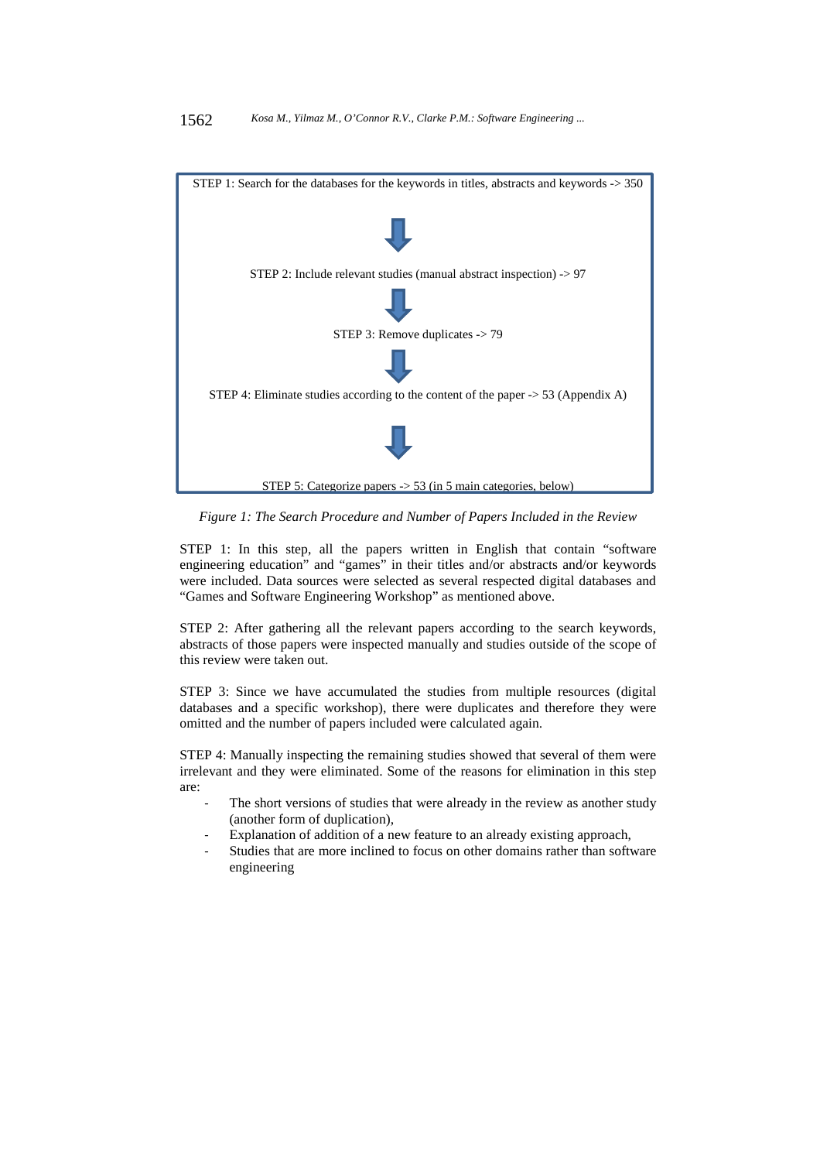

*Figure 1: The Search Procedure and Number of Papers Included in the Review* 

STEP 1: In this step, all the papers written in English that contain "software engineering education" and "games" in their titles and/or abstracts and/or keywords were included. Data sources were selected as several respected digital databases and "Games and Software Engineering Workshop" as mentioned above.

STEP 2: After gathering all the relevant papers according to the search keywords, abstracts of those papers were inspected manually and studies outside of the scope of this review were taken out.

STEP 3: Since we have accumulated the studies from multiple resources (digital databases and a specific workshop), there were duplicates and therefore they were omitted and the number of papers included were calculated again.

STEP 4: Manually inspecting the remaining studies showed that several of them were irrelevant and they were eliminated. Some of the reasons for elimination in this step are:

- The short versions of studies that were already in the review as another study (another form of duplication),
- Explanation of addition of a new feature to an already existing approach,
- Studies that are more inclined to focus on other domains rather than software engineering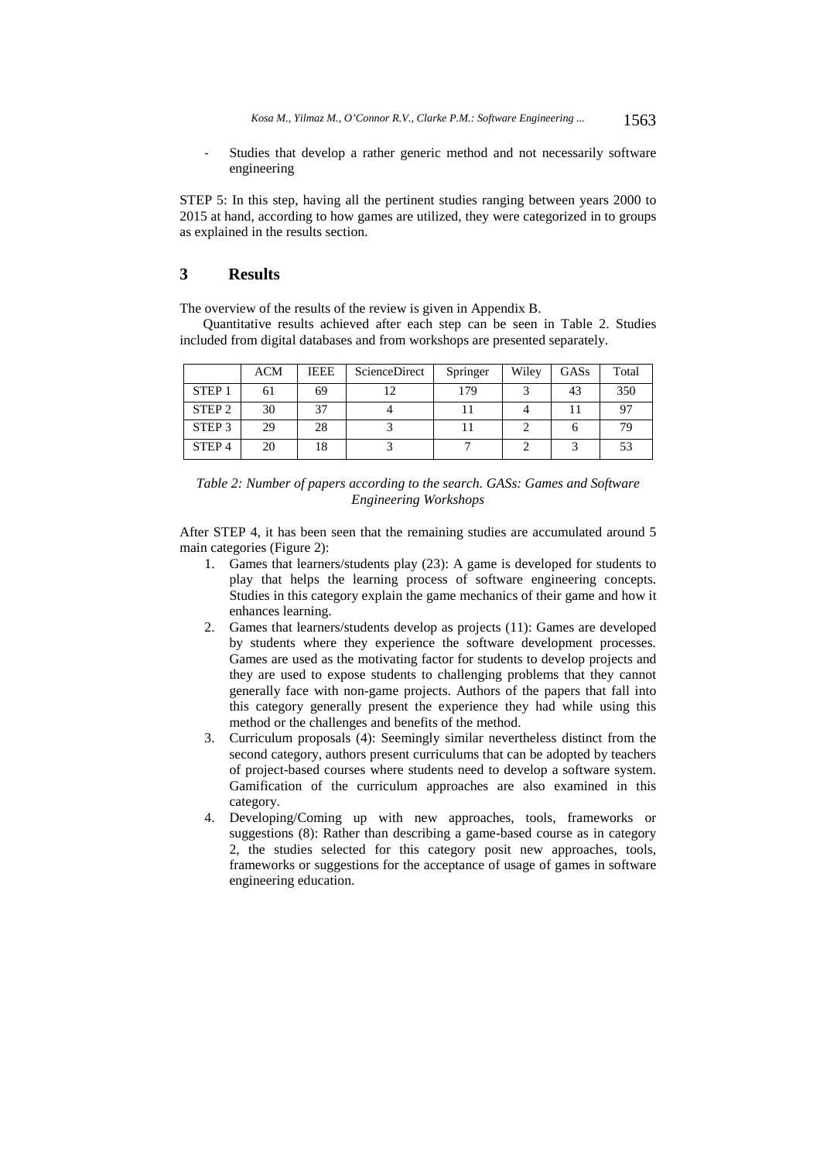Studies that develop a rather generic method and not necessarily software engineering

STEP 5: In this step, having all the pertinent studies ranging between years 2000 to 2015 at hand, according to how games are utilized, they were categorized in to groups as explained in the results section.

## **3 Results**

The overview of the results of the review is given in Appendix B.

Quantitative results achieved after each step can be seen in Table 2. Studies included from digital databases and from workshops are presented separately.

|                   | <b>ACM</b> | <b>IEEE</b> | ScienceDirect | Springer | Wiley | GASs | Total |
|-------------------|------------|-------------|---------------|----------|-------|------|-------|
| STEP <sub>1</sub> | 61         | 69          |               | 179      |       | 43   | 350   |
| STEP <sub>2</sub> | 30         | 37          |               |          |       |      | 97    |
| STEP <sub>3</sub> | 29         | 28          |               |          |       |      | 79    |
| STEP <sub>4</sub> | 20         | 18          |               |          |       |      | 53    |

| Table 2: Number of papers according to the search. GASs: Games and Software |                              |  |  |
|-----------------------------------------------------------------------------|------------------------------|--|--|
|                                                                             | <i>Engineering Workshops</i> |  |  |

After STEP 4, it has been seen that the remaining studies are accumulated around 5 main categories (Figure 2):

- 1. Games that learners/students play (23): A game is developed for students to play that helps the learning process of software engineering concepts. Studies in this category explain the game mechanics of their game and how it enhances learning.
- 2. Games that learners/students develop as projects (11): Games are developed by students where they experience the software development processes. Games are used as the motivating factor for students to develop projects and they are used to expose students to challenging problems that they cannot generally face with non-game projects. Authors of the papers that fall into this category generally present the experience they had while using this method or the challenges and benefits of the method.
- 3. Curriculum proposals (4): Seemingly similar nevertheless distinct from the second category, authors present curriculums that can be adopted by teachers of project-based courses where students need to develop a software system. Gamification of the curriculum approaches are also examined in this category.
- 4. Developing/Coming up with new approaches, tools, frameworks or suggestions (8): Rather than describing a game-based course as in category 2, the studies selected for this category posit new approaches, tools, frameworks or suggestions for the acceptance of usage of games in software engineering education.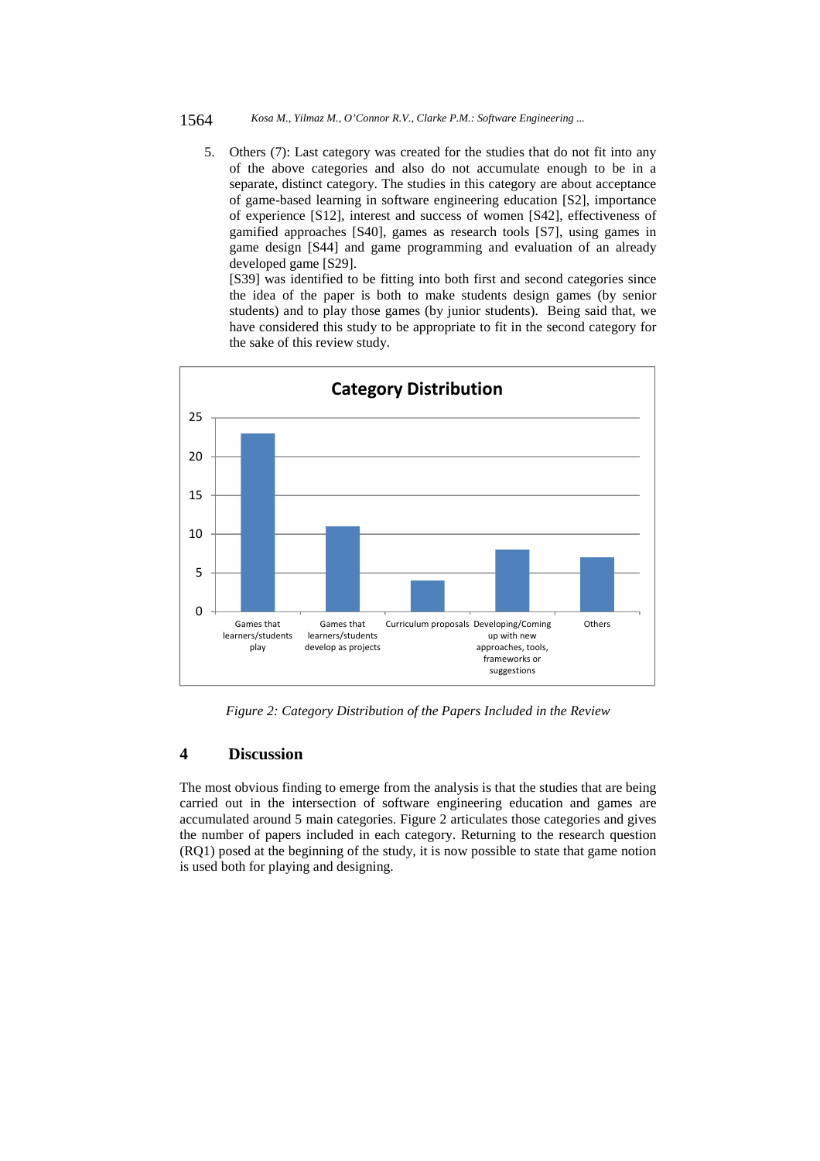5. Others (7): Last category was created for the studies that do not fit into any of the above categories and also do not accumulate enough to be in a separate, distinct category. The studies in this category are about acceptance of game-based learning in software engineering education [S2], importance of experience [S12], interest and success of women [S42], effectiveness of gamified approaches [S40], games as research tools [S7], using games in game design [S44] and game programming and evaluation of an already developed game [S29].

[S39] was identified to be fitting into both first and second categories since the idea of the paper is both to make students design games (by senior students) and to play those games (by junior students). Being said that, we have considered this study to be appropriate to fit in the second category for the sake of this review study.



*Figure 2: Category Distribution of the Papers Included in the Review* 

## **4 Discussion**

The most obvious finding to emerge from the analysis is that the studies that are being carried out in the intersection of software engineering education and games are accumulated around 5 main categories. Figure 2 articulates those categories and gives the number of papers included in each category. Returning to the research question (RQ1) posed at the beginning of the study, it is now possible to state that game notion is used both for playing and designing.

<sup>1564</sup> *Kosa M., Yilmaz M., O'Connor R.V., Clarke P.M.: Software Engineering ...*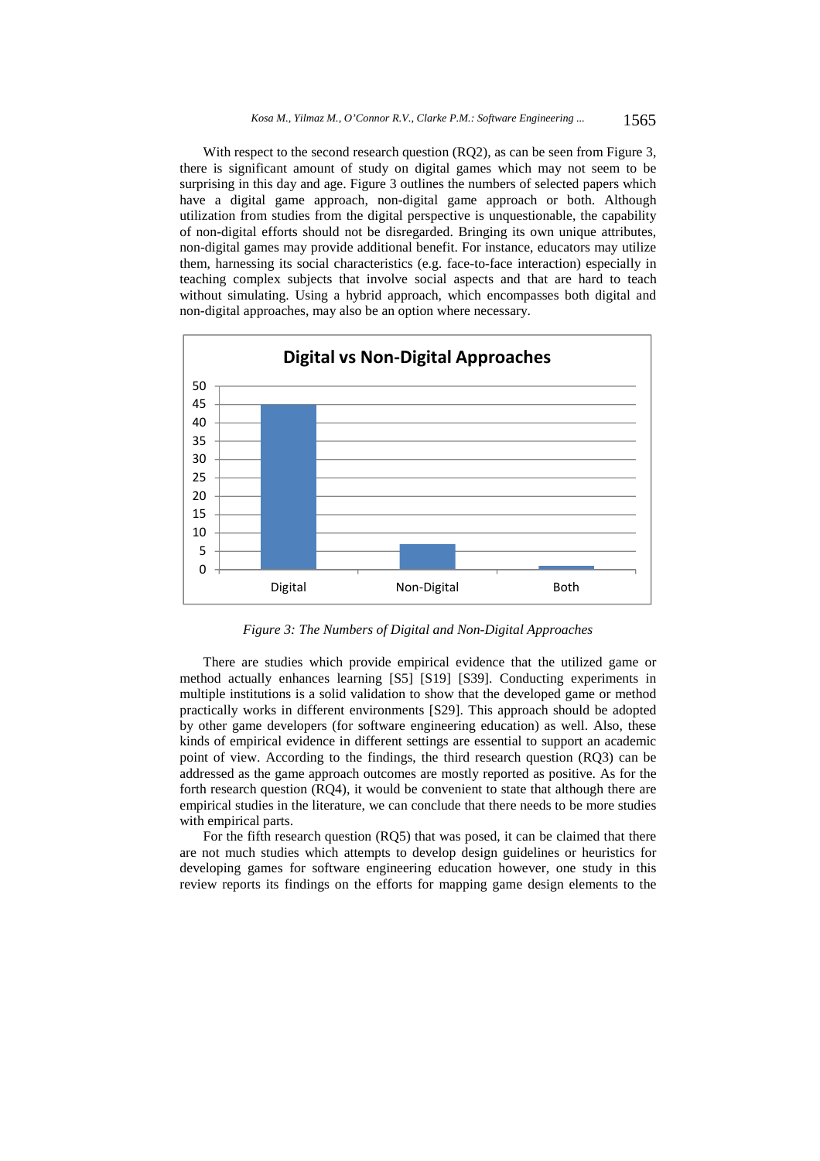With respect to the second research question (RQ2), as can be seen from Figure 3, there is significant amount of study on digital games which may not seem to be surprising in this day and age. Figure 3 outlines the numbers of selected papers which have a digital game approach, non-digital game approach or both. Although utilization from studies from the digital perspective is unquestionable, the capability of non-digital efforts should not be disregarded. Bringing its own unique attributes, non-digital games may provide additional benefit. For instance, educators may utilize them, harnessing its social characteristics (e.g. face-to-face interaction) especially in teaching complex subjects that involve social aspects and that are hard to teach without simulating. Using a hybrid approach, which encompasses both digital and non-digital approaches, may also be an option where necessary.



*Figure 3: The Numbers of Digital and Non-Digital Approaches*

There are studies which provide empirical evidence that the utilized game or method actually enhances learning [S5] [S19] [S39]. Conducting experiments in multiple institutions is a solid validation to show that the developed game or method practically works in different environments [S29]. This approach should be adopted by other game developers (for software engineering education) as well. Also, these kinds of empirical evidence in different settings are essential to support an academic point of view. According to the findings, the third research question (RQ3) can be addressed as the game approach outcomes are mostly reported as positive. As for the forth research question (RQ4), it would be convenient to state that although there are empirical studies in the literature, we can conclude that there needs to be more studies with empirical parts.

For the fifth research question (RQ5) that was posed, it can be claimed that there are not much studies which attempts to develop design guidelines or heuristics for developing games for software engineering education however, one study in this review reports its findings on the efforts for mapping game design elements to the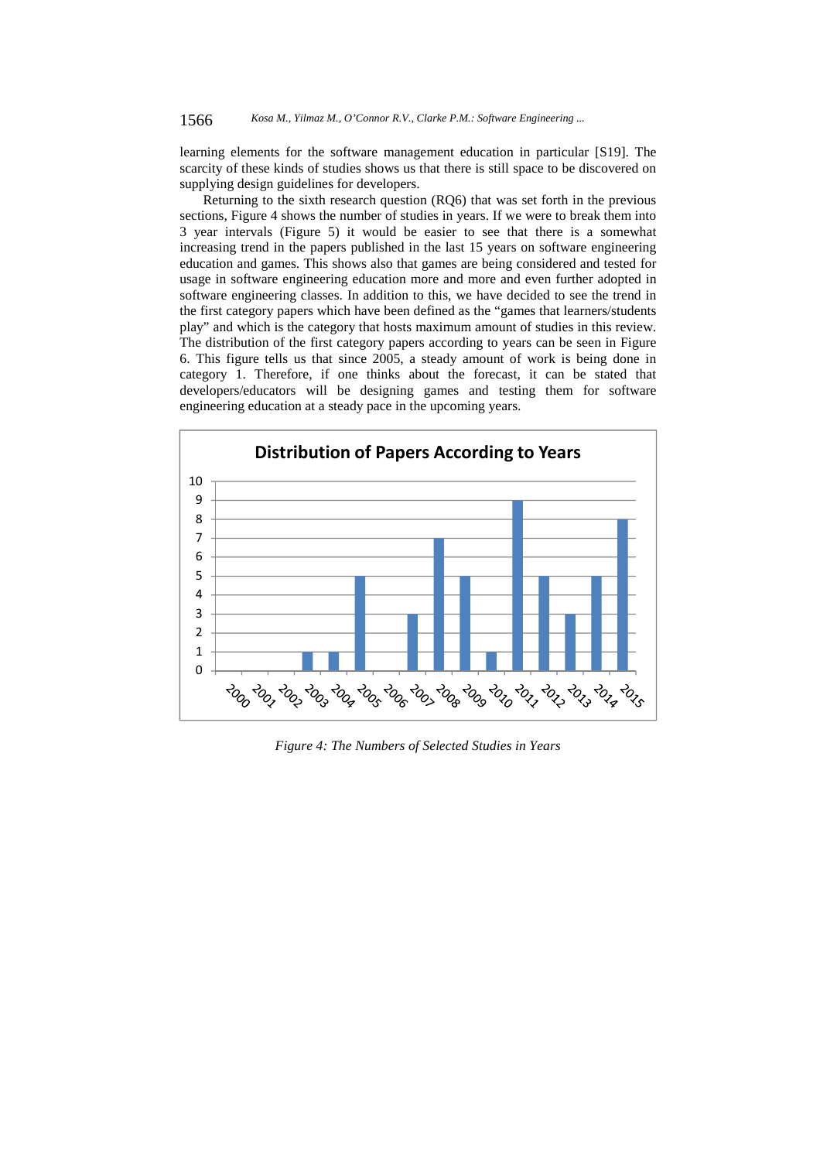learning elements for the software management education in particular [S19]. The scarcity of these kinds of studies shows us that there is still space to be discovered on supplying design guidelines for developers.

Returning to the sixth research question (RQ6) that was set forth in the previous sections, Figure 4 shows the number of studies in years. If we were to break them into 3 year intervals (Figure 5) it would be easier to see that there is a somewhat increasing trend in the papers published in the last 15 years on software engineering education and games. This shows also that games are being considered and tested for usage in software engineering education more and more and even further adopted in software engineering classes. In addition to this, we have decided to see the trend in the first category papers which have been defined as the "games that learners/students play" and which is the category that hosts maximum amount of studies in this review. The distribution of the first category papers according to years can be seen in Figure 6. This figure tells us that since 2005, a steady amount of work is being done in category 1. Therefore, if one thinks about the forecast, it can be stated that developers/educators will be designing games and testing them for software engineering education at a steady pace in the upcoming years.



*Figure 4: The Numbers of Selected Studies in Years*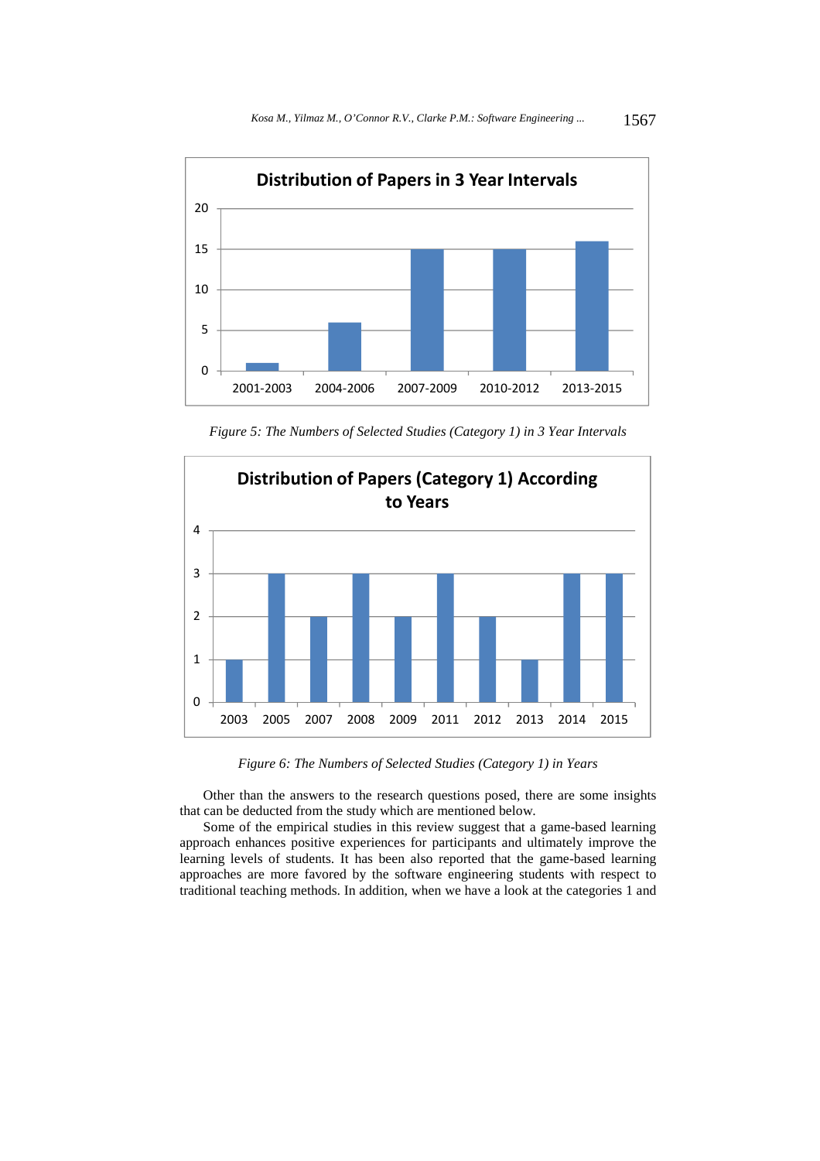

*Figure 5: The Numbers of Selected Studies (Category 1) in 3 Year Intervals*



*Figure 6: The Numbers of Selected Studies (Category 1) in Years*

Other than the answers to the research questions posed, there are some insights that can be deducted from the study which are mentioned below.

Some of the empirical studies in this review suggest that a game-based learning approach enhances positive experiences for participants and ultimately improve the learning levels of students. It has been also reported that the game-based learning approaches are more favored by the software engineering students with respect to traditional teaching methods. In addition, when we have a look at the categories 1 and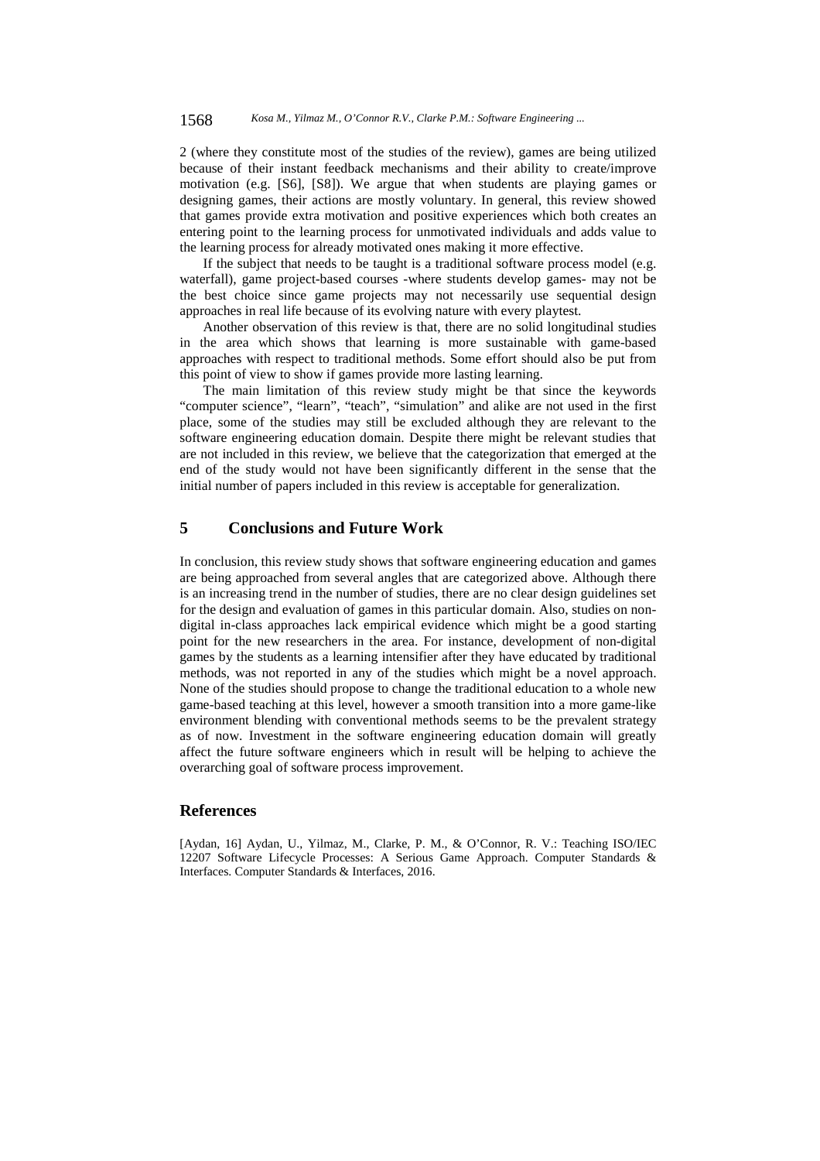2 (where they constitute most of the studies of the review), games are being utilized because of their instant feedback mechanisms and their ability to create/improve motivation (e.g. [S6], [S8]). We argue that when students are playing games or designing games, their actions are mostly voluntary. In general, this review showed that games provide extra motivation and positive experiences which both creates an entering point to the learning process for unmotivated individuals and adds value to the learning process for already motivated ones making it more effective.

If the subject that needs to be taught is a traditional software process model (e.g. waterfall), game project-based courses -where students develop games- may not be the best choice since game projects may not necessarily use sequential design approaches in real life because of its evolving nature with every playtest.

Another observation of this review is that, there are no solid longitudinal studies in the area which shows that learning is more sustainable with game-based approaches with respect to traditional methods. Some effort should also be put from this point of view to show if games provide more lasting learning.

The main limitation of this review study might be that since the keywords "computer science", "learn", "teach", "simulation" and alike are not used in the first place, some of the studies may still be excluded although they are relevant to the software engineering education domain. Despite there might be relevant studies that are not included in this review, we believe that the categorization that emerged at the end of the study would not have been significantly different in the sense that the initial number of papers included in this review is acceptable for generalization.

## **5 Conclusions and Future Work**

In conclusion, this review study shows that software engineering education and games are being approached from several angles that are categorized above. Although there is an increasing trend in the number of studies, there are no clear design guidelines set for the design and evaluation of games in this particular domain. Also, studies on nondigital in-class approaches lack empirical evidence which might be a good starting point for the new researchers in the area. For instance, development of non-digital games by the students as a learning intensifier after they have educated by traditional methods, was not reported in any of the studies which might be a novel approach. None of the studies should propose to change the traditional education to a whole new game-based teaching at this level, however a smooth transition into a more game-like environment blending with conventional methods seems to be the prevalent strategy as of now. Investment in the software engineering education domain will greatly affect the future software engineers which in result will be helping to achieve the overarching goal of software process improvement.

## **References**

[Aydan, 16] Aydan, U., Yilmaz, M., Clarke, P. M., & O'Connor, R. V.: Teaching ISO/IEC 12207 Software Lifecycle Processes: A Serious Game Approach. Computer Standards & Interfaces. Computer Standards & Interfaces, 2016.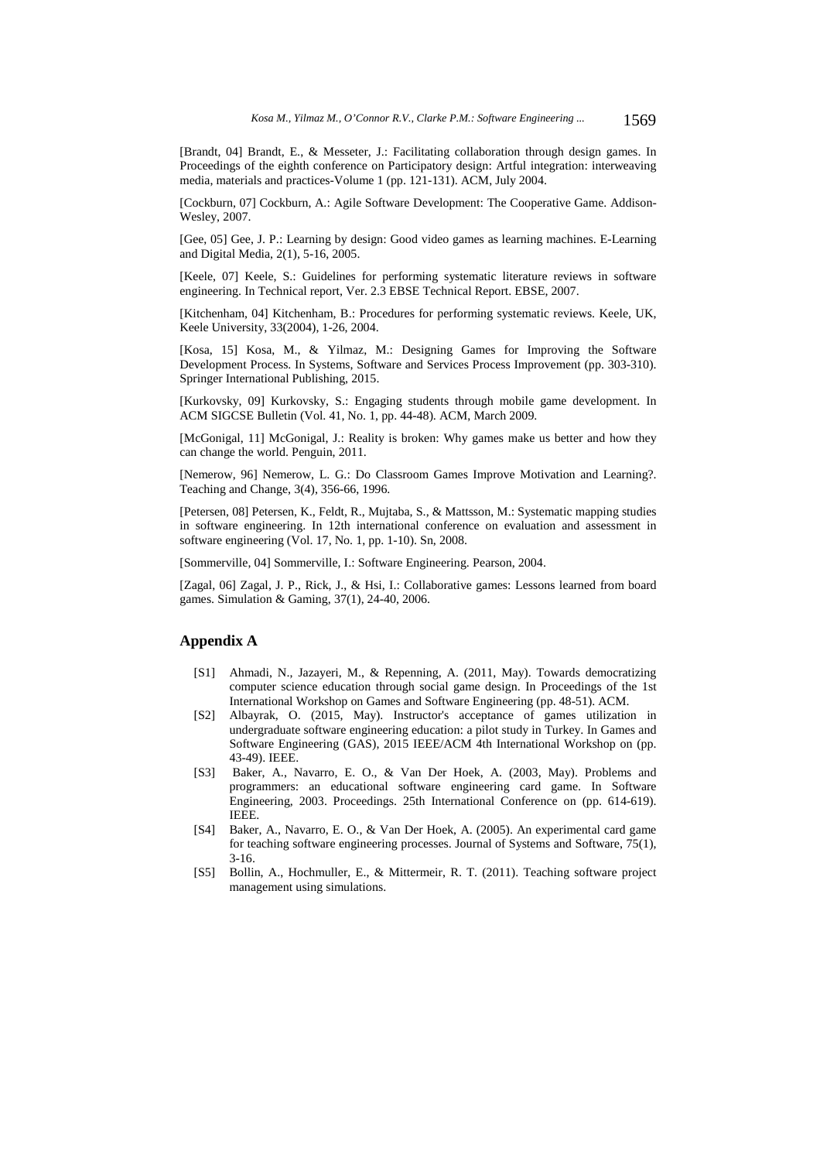[Brandt, 04] Brandt, E., & Messeter, J.: Facilitating collaboration through design games. In Proceedings of the eighth conference on Participatory design: Artful integration: interweaving media, materials and practices-Volume 1 (pp. 121-131). ACM, July 2004.

[Cockburn, 07] Cockburn, A.: Agile Software Development: The Cooperative Game. Addison-Wesley, 2007.

[Gee, 05] Gee, J. P.: Learning by design: Good video games as learning machines. E-Learning and Digital Media, 2(1), 5-16, 2005.

[Keele, 07] Keele, S.: Guidelines for performing systematic literature reviews in software engineering. In Technical report, Ver. 2.3 EBSE Technical Report. EBSE, 2007.

[Kitchenham, 04] Kitchenham, B.: Procedures for performing systematic reviews. Keele, UK, Keele University, 33(2004), 1-26, 2004.

[Kosa, 15] Kosa, M., & Yilmaz, M.: Designing Games for Improving the Software Development Process. In Systems, Software and Services Process Improvement (pp. 303-310). Springer International Publishing, 2015.

[Kurkovsky, 09] Kurkovsky, S.: Engaging students through mobile game development. In ACM SIGCSE Bulletin (Vol. 41, No. 1, pp. 44-48). ACM, March 2009.

[McGonigal, 11] McGonigal, J.: Reality is broken: Why games make us better and how they can change the world. Penguin, 2011.

[Nemerow, 96] Nemerow, L. G.: Do Classroom Games Improve Motivation and Learning?. Teaching and Change, 3(4), 356-66, 1996.

[Petersen, 08] Petersen, K., Feldt, R., Mujtaba, S., & Mattsson, M.: Systematic mapping studies in software engineering. In 12th international conference on evaluation and assessment in software engineering (Vol. 17, No. 1, pp. 1-10). Sn, 2008.

[Sommerville, 04] Sommerville, I.: Software Engineering. Pearson, 2004.

[Zagal, 06] Zagal, J. P., Rick, J., & Hsi, I.: Collaborative games: Lessons learned from board games. Simulation & Gaming, 37(1), 24-40, 2006.

#### **Appendix A**

- [S1] Ahmadi, N., Jazayeri, M., & Repenning, A. (2011, May). Towards democratizing computer science education through social game design. In Proceedings of the 1st International Workshop on Games and Software Engineering (pp. 48-51). ACM.
- [S2] Albayrak, O. (2015, May). Instructor's acceptance of games utilization in undergraduate software engineering education: a pilot study in Turkey. In Games and Software Engineering (GAS), 2015 IEEE/ACM 4th International Workshop on (pp. 43-49). IEEE.
- [S3] Baker, A., Navarro, E. O., & Van Der Hoek, A. (2003, May). Problems and programmers: an educational software engineering card game. In Software Engineering, 2003. Proceedings. 25th International Conference on (pp. 614-619). IEEE.
- [S4] Baker, A., Navarro, E. O., & Van Der Hoek, A. (2005). An experimental card game for teaching software engineering processes. Journal of Systems and Software, 75(1), 3-16.
- [S5] Bollin, A., Hochmuller, E., & Mittermeir, R. T. (2011). Teaching software project management using simulations.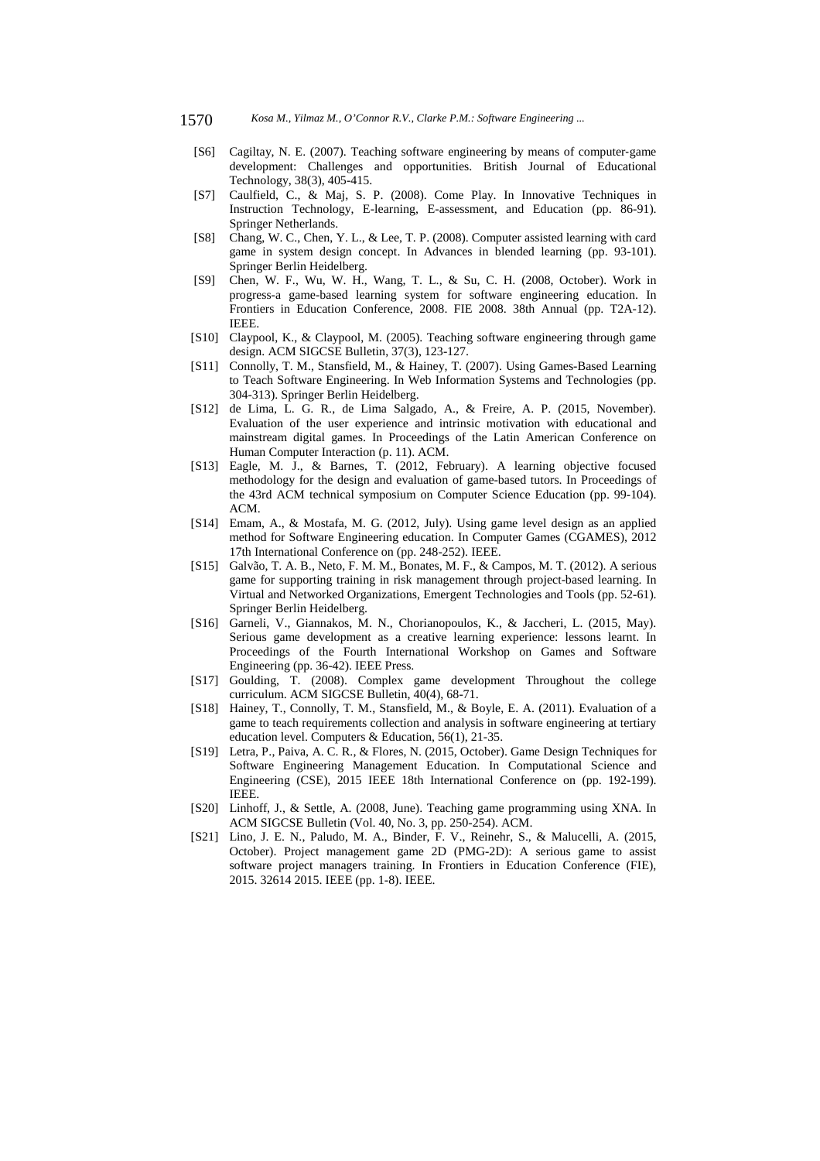- 1570 *Kosa M., Yilmaz M., O'Connor R.V., Clarke P.M.: Software Engineering ...*
	- [S6] Cagiltay, N. E. (2007). Teaching software engineering by means of computer‐game development: Challenges and opportunities. British Journal of Educational Technology, 38(3), 405-415.
	- [S7] Caulfield, C., & Maj, S. P. (2008). Come Play. In Innovative Techniques in Instruction Technology, E-learning, E-assessment, and Education (pp. 86-91). Springer Netherlands.
	- [S8] Chang, W. C., Chen, Y. L., & Lee, T. P. (2008). Computer assisted learning with card game in system design concept. In Advances in blended learning (pp. 93-101). Springer Berlin Heidelberg.
	- [S9] Chen, W. F., Wu, W. H., Wang, T. L., & Su, C. H. (2008, October). Work in progress-a game-based learning system for software engineering education. In Frontiers in Education Conference, 2008. FIE 2008. 38th Annual (pp. T2A-12). IEEE.
	- [S10] Claypool, K., & Claypool, M. (2005). Teaching software engineering through game design. ACM SIGCSE Bulletin, 37(3), 123-127.
	- [S11] Connolly, T. M., Stansfield, M., & Hainey, T. (2007). Using Games-Based Learning to Teach Software Engineering. In Web Information Systems and Technologies (pp. 304-313). Springer Berlin Heidelberg.
	- [S12] de Lima, L. G. R., de Lima Salgado, A., & Freire, A. P. (2015, November). Evaluation of the user experience and intrinsic motivation with educational and mainstream digital games. In Proceedings of the Latin American Conference on Human Computer Interaction (p. 11). ACM.
	- [S13] Eagle, M. J., & Barnes, T. (2012, February). A learning objective focused methodology for the design and evaluation of game-based tutors. In Proceedings of the 43rd ACM technical symposium on Computer Science Education (pp. 99-104). ACM.
	- [S14] Emam, A., & Mostafa, M. G. (2012, July). Using game level design as an applied method for Software Engineering education. In Computer Games (CGAMES), 2012 17th International Conference on (pp. 248-252). IEEE.
	- [S15] Galvão, T. A. B., Neto, F. M. M., Bonates, M. F., & Campos, M. T. (2012). A serious game for supporting training in risk management through project-based learning. In Virtual and Networked Organizations, Emergent Technologies and Tools (pp. 52-61). Springer Berlin Heidelberg.
- [S16] Garneli, V., Giannakos, M. N., Chorianopoulos, K., & Jaccheri, L. (2015, May). Serious game development as a creative learning experience: lessons learnt. In Proceedings of the Fourth International Workshop on Games and Software Engineering (pp. 36-42). IEEE Press.
- [S17] Goulding, T. (2008). Complex game development Throughout the college curriculum. ACM SIGCSE Bulletin, 40(4), 68-71.
- [S18] Hainey, T., Connolly, T. M., Stansfield, M., & Boyle, E. A. (2011). Evaluation of a game to teach requirements collection and analysis in software engineering at tertiary education level. Computers & Education, 56(1), 21-35.
- [S19] Letra, P., Paiva, A. C. R., & Flores, N. (2015, October). Game Design Techniques for Software Engineering Management Education. In Computational Science and Engineering (CSE), 2015 IEEE 18th International Conference on (pp. 192-199). IEEE.
- [S20] Linhoff, J., & Settle, A. (2008, June). Teaching game programming using XNA. In ACM SIGCSE Bulletin (Vol. 40, No. 3, pp. 250-254). ACM.
- [S21] Lino, J. E. N., Paludo, M. A., Binder, F. V., Reinehr, S., & Malucelli, A. (2015, October). Project management game 2D (PMG-2D): A serious game to assist software project managers training. In Frontiers in Education Conference (FIE), 2015. 32614 2015. IEEE (pp. 1-8). IEEE.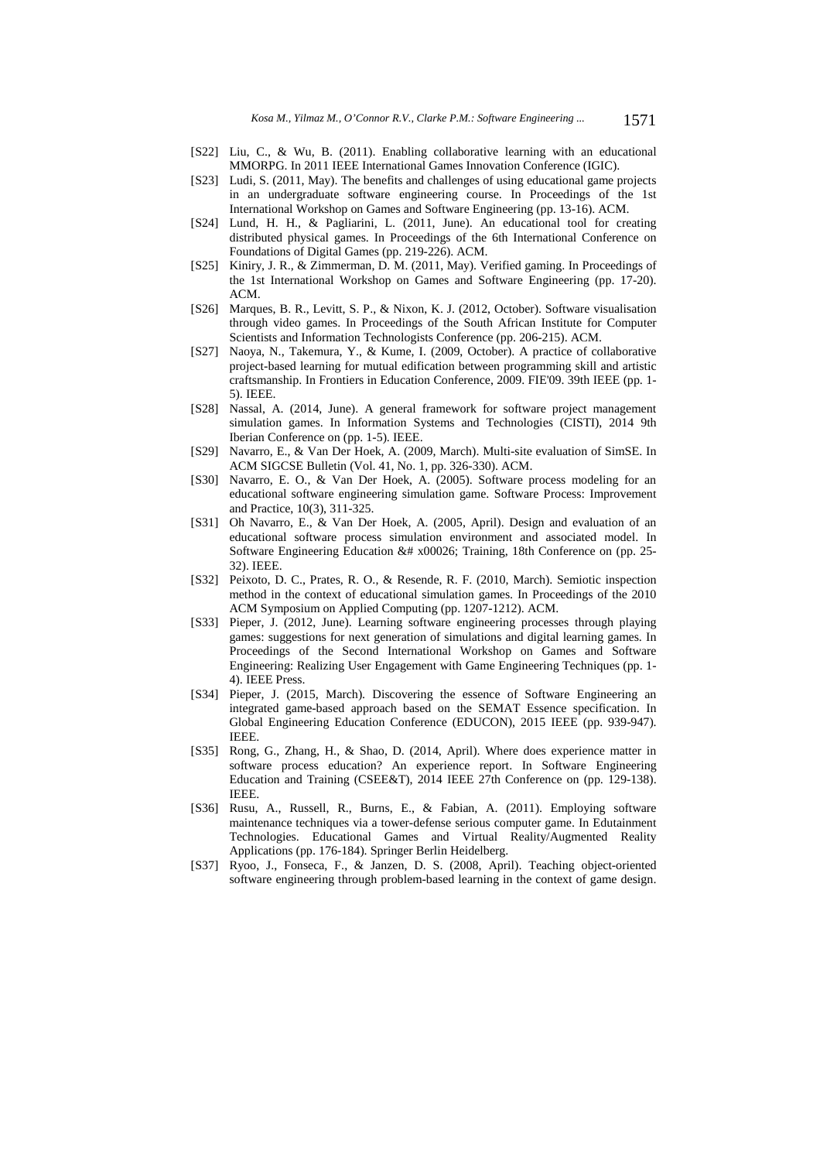- [S22] Liu, C., & Wu, B. (2011). Enabling collaborative learning with an educational MMORPG. In 2011 IEEE International Games Innovation Conference (IGIC).
- [S23] Ludi, S. (2011, May). The benefits and challenges of using educational game projects in an undergraduate software engineering course. In Proceedings of the 1st International Workshop on Games and Software Engineering (pp. 13-16). ACM.
- [S24] Lund, H. H., & Pagliarini, L. (2011, June). An educational tool for creating distributed physical games. In Proceedings of the 6th International Conference on Foundations of Digital Games (pp. 219-226). ACM.
- [S25] Kiniry, J. R., & Zimmerman, D. M. (2011, May). Verified gaming. In Proceedings of the 1st International Workshop on Games and Software Engineering (pp. 17-20). ACM.
- [S26] Marques, B. R., Levitt, S. P., & Nixon, K. J. (2012, October). Software visualisation through video games. In Proceedings of the South African Institute for Computer Scientists and Information Technologists Conference (pp. 206-215). ACM.
- [S27] Naoya, N., Takemura, Y., & Kume, I. (2009, October). A practice of collaborative project-based learning for mutual edification between programming skill and artistic craftsmanship. In Frontiers in Education Conference, 2009. FIE'09. 39th IEEE (pp. 1- 5). IEEE.
- [S28] Nassal, A. (2014, June). A general framework for software project management simulation games. In Information Systems and Technologies (CISTI), 2014 9th Iberian Conference on (pp. 1-5). IEEE.
- [S29] Navarro, E., & Van Der Hoek, A. (2009, March). Multi-site evaluation of SimSE. In ACM SIGCSE Bulletin (Vol. 41, No. 1, pp. 326-330). ACM.
- [S30] Navarro, E. O., & Van Der Hoek, A. (2005). Software process modeling for an educational software engineering simulation game. Software Process: Improvement and Practice, 10(3), 311-325.
- [S31] Oh Navarro, E., & Van Der Hoek, A. (2005, April). Design and evaluation of an educational software process simulation environment and associated model. In Software Engineering Education &# x00026; Training, 18th Conference on (pp. 25- 32). IEEE.
- [S32] Peixoto, D. C., Prates, R. O., & Resende, R. F. (2010, March). Semiotic inspection method in the context of educational simulation games. In Proceedings of the 2010 ACM Symposium on Applied Computing (pp. 1207-1212). ACM.
- [S33] Pieper, J. (2012, June). Learning software engineering processes through playing games: suggestions for next generation of simulations and digital learning games. In Proceedings of the Second International Workshop on Games and Software Engineering: Realizing User Engagement with Game Engineering Techniques (pp. 1- 4). IEEE Press.
- [S34] Pieper, J. (2015, March). Discovering the essence of Software Engineering an integrated game-based approach based on the SEMAT Essence specification. In Global Engineering Education Conference (EDUCON), 2015 IEEE (pp. 939-947). IEEE.
- [S35] Rong, G., Zhang, H., & Shao, D. (2014, April). Where does experience matter in software process education? An experience report. In Software Engineering Education and Training (CSEE&T), 2014 IEEE 27th Conference on (pp. 129-138). IEEE.
- [S36] Rusu, A., Russell, R., Burns, E., & Fabian, A. (2011). Employing software maintenance techniques via a tower-defense serious computer game. In Edutainment Technologies. Educational Games and Virtual Reality/Augmented Reality Applications (pp. 176-184). Springer Berlin Heidelberg.
- [S37] Ryoo, J., Fonseca, F., & Janzen, D. S. (2008, April). Teaching object-oriented software engineering through problem-based learning in the context of game design.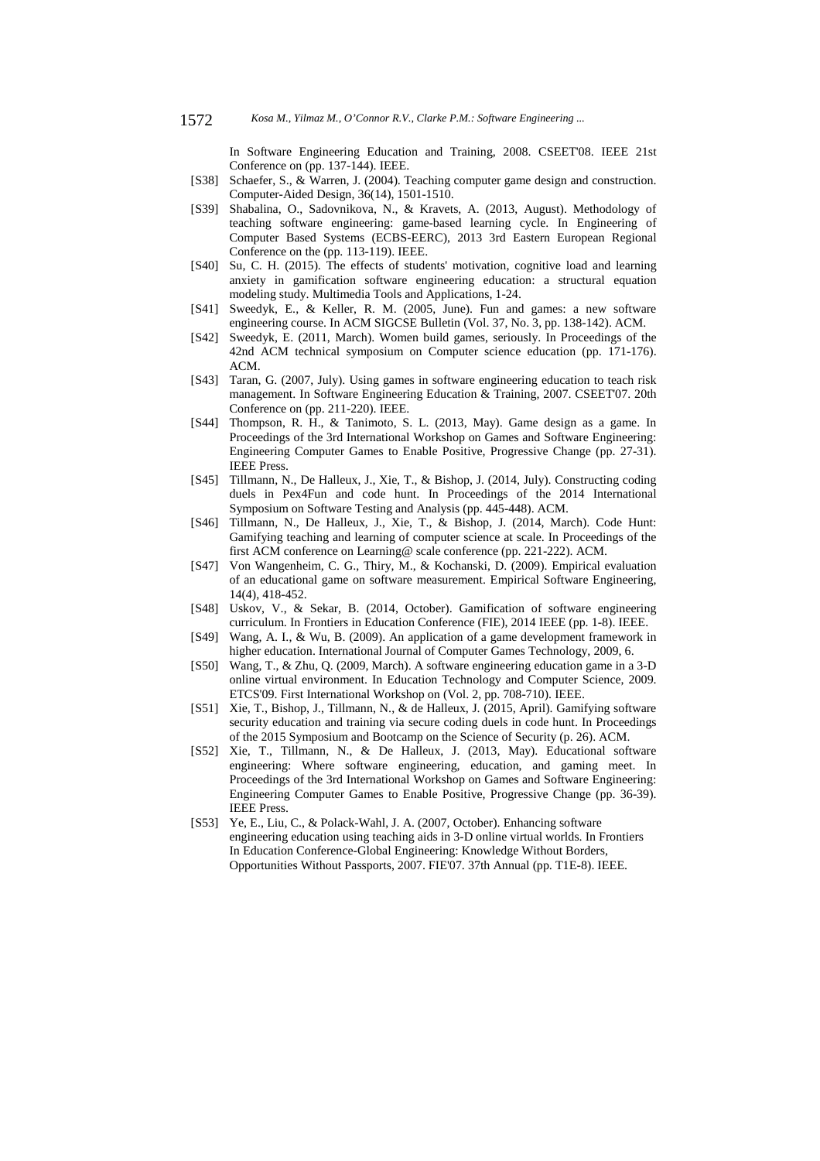In Software Engineering Education and Training, 2008. CSEET'08. IEEE 21st Conference on (pp. 137-144). IEEE.

- [S38] Schaefer, S., & Warren, J. (2004). Teaching computer game design and construction. Computer-Aided Design, 36(14), 1501-1510.
- [S39] Shabalina, O., Sadovnikova, N., & Kravets, A. (2013, August). Methodology of teaching software engineering: game-based learning cycle. In Engineering of Computer Based Systems (ECBS-EERC), 2013 3rd Eastern European Regional Conference on the (pp. 113-119). IEEE.
- [S40] Su, C. H. (2015). The effects of students' motivation, cognitive load and learning anxiety in gamification software engineering education: a structural equation modeling study. Multimedia Tools and Applications, 1-24.
- [S41] Sweedyk, E., & Keller, R. M. (2005, June). Fun and games: a new software engineering course. In ACM SIGCSE Bulletin (Vol. 37, No. 3, pp. 138-142). ACM.
- [S42] Sweedyk, E. (2011, March). Women build games, seriously. In Proceedings of the 42nd ACM technical symposium on Computer science education (pp. 171-176). ACM.
- [S43] Taran, G. (2007, July). Using games in software engineering education to teach risk management. In Software Engineering Education & Training, 2007. CSEET'07. 20th Conference on (pp. 211-220). IEEE.
- [S44] Thompson, R. H., & Tanimoto, S. L. (2013, May). Game design as a game. In Proceedings of the 3rd International Workshop on Games and Software Engineering: Engineering Computer Games to Enable Positive, Progressive Change (pp. 27-31). IEEE Press.
- [S45] Tillmann, N., De Halleux, J., Xie, T., & Bishop, J. (2014, July). Constructing coding duels in Pex4Fun and code hunt. In Proceedings of the 2014 International Symposium on Software Testing and Analysis (pp. 445-448). ACM.
- [S46] Tillmann, N., De Halleux, J., Xie, T., & Bishop, J. (2014, March). Code Hunt: Gamifying teaching and learning of computer science at scale. In Proceedings of the first ACM conference on Learning@ scale conference (pp. 221-222). ACM.
- [S47] Von Wangenheim, C. G., Thiry, M., & Kochanski, D. (2009). Empirical evaluation of an educational game on software measurement. Empirical Software Engineering, 14(4), 418-452.
- [S48] Uskov, V., & Sekar, B. (2014, October). Gamification of software engineering curriculum. In Frontiers in Education Conference (FIE), 2014 IEEE (pp. 1-8). IEEE.
- [S49] Wang, A. I., & Wu, B. (2009). An application of a game development framework in higher education. International Journal of Computer Games Technology, 2009, 6.
- [S50] Wang, T., & Zhu, Q. (2009, March). A software engineering education game in a 3-D online virtual environment. In Education Technology and Computer Science, 2009. ETCS'09. First International Workshop on (Vol. 2, pp. 708-710). IEEE.
- [S51] Xie, T., Bishop, J., Tillmann, N., & de Halleux, J. (2015, April). Gamifying software security education and training via secure coding duels in code hunt. In Proceedings of the 2015 Symposium and Bootcamp on the Science of Security (p. 26). ACM.
- [S52] Xie, T., Tillmann, N., & De Halleux, J. (2013, May). Educational software engineering: Where software engineering, education, and gaming meet. In Proceedings of the 3rd International Workshop on Games and Software Engineering: Engineering Computer Games to Enable Positive, Progressive Change (pp. 36-39). IEEE Press.
- [S53] Ye, E., Liu, C., & Polack-Wahl, J. A. (2007, October). Enhancing software engineering education using teaching aids in 3-D online virtual worlds. In Frontiers In Education Conference-Global Engineering: Knowledge Without Borders, Opportunities Without Passports, 2007. FIE'07. 37th Annual (pp. T1E-8). IEEE.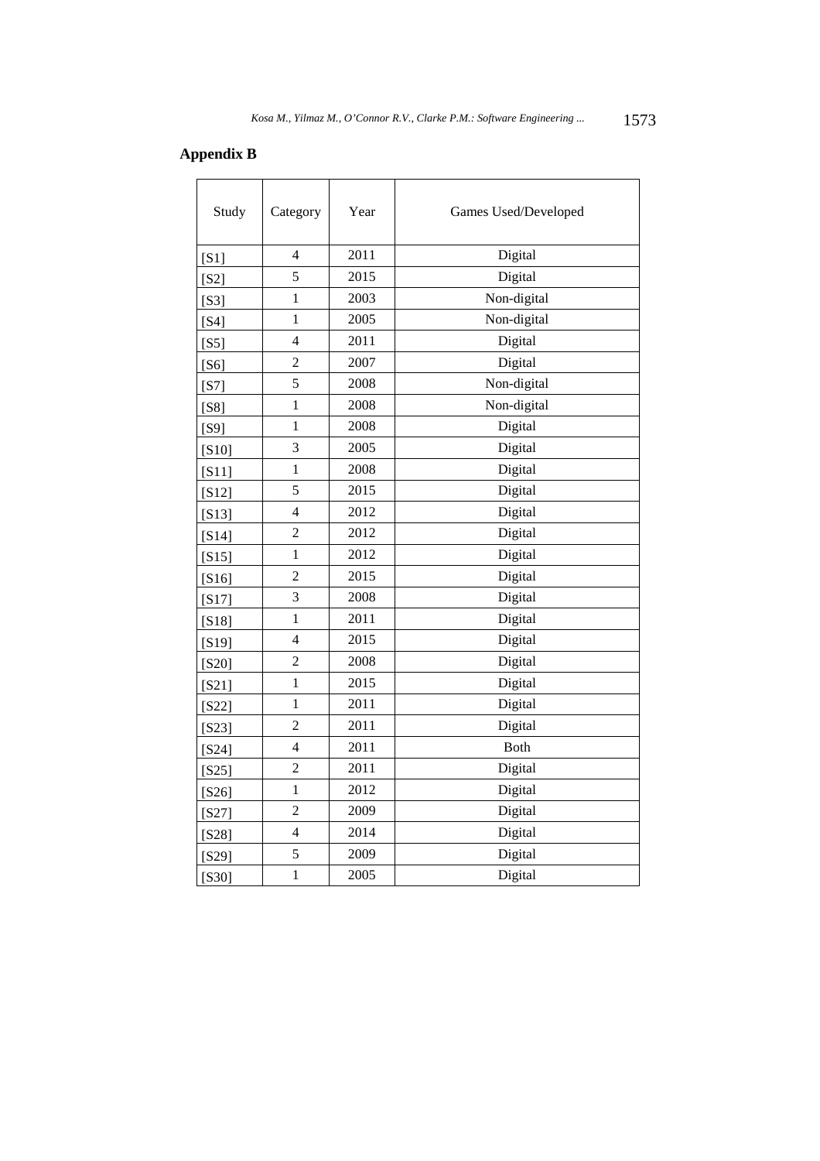# **Appendix B**

| Study             | Category                 | Year | Games Used/Developed |
|-------------------|--------------------------|------|----------------------|
| [S1]              | $\overline{\mathcal{A}}$ | 2011 | Digital              |
| [S2]              | 5                        | 2015 | Digital              |
| [S3]              | $\mathbf{1}$             | 2003 | Non-digital          |
| [S4]              | $\mathbf{1}$             | 2005 | Non-digital          |
| [ <sub>S5</sub> ] | $\overline{4}$           | 2011 | Digital              |
| [S6]              | $\overline{c}$           | 2007 | Digital              |
| [S7]              | 5                        | 2008 | Non-digital          |
| [ <sub>S</sub> 8] | 1                        | 2008 | Non-digital          |
| [S9]              | 1                        | 2008 | Digital              |
| [S10]             | 3                        | 2005 | Digital              |
| [S11]             | $\mathbf{1}$             | 2008 | Digital              |
| [S12]             | 5                        | 2015 | Digital              |
| [S13]             | $\overline{4}$           | 2012 | Digital              |
| $[S14]$           | $\overline{c}$           | 2012 | Digital              |
| $[S15]$           | $\mathbf{1}$             | 2012 | Digital              |
| [S16]             | $\overline{2}$           | 2015 | Digital              |
| [S17]             | 3                        | 2008 | Digital              |
| [S18]             | $\mathbf{1}$             | 2011 | Digital              |
| $[S19]$           | 4                        | 2015 | Digital              |
| [S20]             | $\overline{2}$           | 2008 | Digital              |
| [S21]             | 1                        | 2015 | Digital              |
| $[$ 22]           | 1                        | 2011 | Digital              |
| $[S23]$           | $\overline{2}$           | 2011 | Digital              |
| $[S24]$           | $\overline{4}$           | 2011 | <b>Both</b>          |
| $[S25]$           | $\overline{c}$           | 2011 | Digital              |
| $[S26]$           | $\mathbf{1}$             | 2012 | Digital              |
| $[$ 27]           | $\overline{c}$           | 2009 | Digital              |
| [S28]             | $\overline{4}$           | 2014 | Digital              |
| $[$ 29]           | 5                        | 2009 | Digital              |
| [S30]             | $\mathbf{1}$             | 2005 | Digital              |